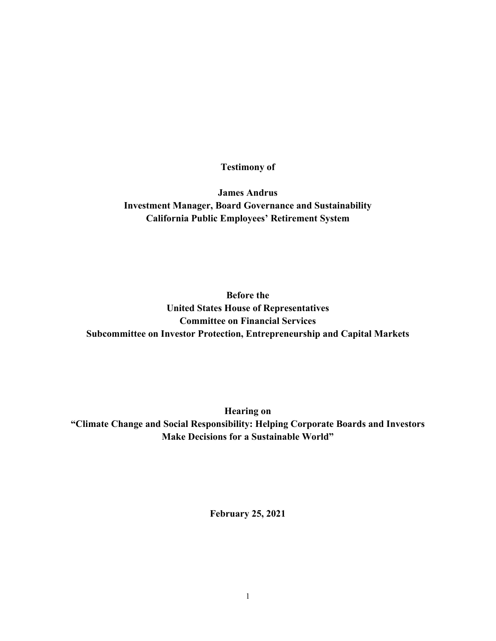**Testimony of** 

**James Andrus Investment Manager, Board Governance and Sustainability California Public Employees' Retirement System**

**Before the United States House of Representatives Committee on Financial Services Subcommittee on Investor Protection, Entrepreneurship and Capital Markets**

**Hearing on "Climate Change and Social Responsibility: Helping Corporate Boards and Investors Make Decisions for a Sustainable World"**

**February 25, 2021**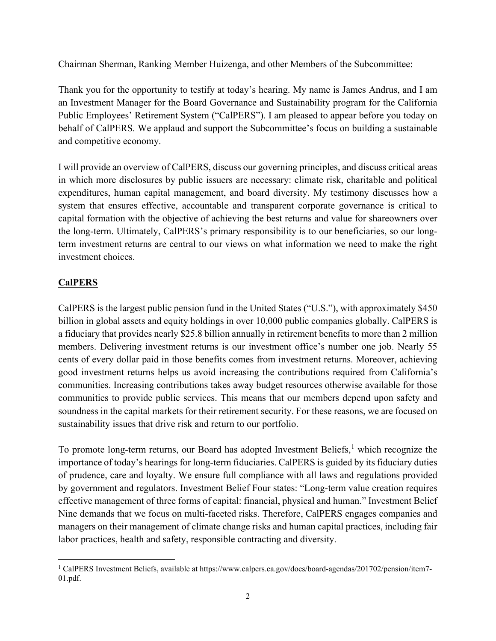Chairman Sherman, Ranking Member Huizenga, and other Members of the Subcommittee:

Thank you for the opportunity to testify at today's hearing. My name is James Andrus, and I am an Investment Manager for the Board Governance and Sustainability program for the California Public Employees' Retirement System ("CalPERS"). I am pleased to appear before you today on behalf of CalPERS. We applaud and support the Subcommittee's focus on building a sustainable and competitive economy.

I will provide an overview of CalPERS, discuss our governing principles, and discuss critical areas in which more disclosures by public issuers are necessary: climate risk, charitable and political expenditures, human capital management, and board diversity. My testimony discusses how a system that ensures effective, accountable and transparent corporate governance is critical to capital formation with the objective of achieving the best returns and value for shareowners over the long-term. Ultimately, CalPERS's primary responsibility is to our beneficiaries, so our longterm investment returns are central to our views on what information we need to make the right investment choices.

# **CalPERS**

CalPERS is the largest public pension fund in the United States ("U.S."), with approximately \$450 billion in global assets and equity holdings in over 10,000 public companies globally. CalPERS is a fiduciary that provides nearly \$25.8 billion annually in retirement benefits to more than 2 million members. Delivering investment returns is our investment office's number one job. Nearly 55 cents of every dollar paid in those benefits comes from investment returns. Moreover, achieving good investment returns helps us avoid increasing the contributions required from California's communities. Increasing contributions takes away budget resources otherwise available for those communities to provide public services. This means that our members depend upon safety and soundness in the capital markets for their retirement security. For these reasons, we are focused on sustainability issues that drive risk and return to our portfolio.

To promote long-term returns, our Board has adopted Investment Beliefs,<sup>[1](#page-1-0)</sup> which recognize the importance of today's hearings for long-term fiduciaries. CalPERS is guided by its fiduciary duties of prudence, care and loyalty. We ensure full compliance with all laws and regulations provided by government and regulators. Investment Belief Four states: "Long-term value creation requires effective management of three forms of capital: financial, physical and human." Investment Belief Nine demands that we focus on multi-faceted risks. Therefore, CalPERS engages companies and managers on their management of climate change risks and human capital practices, including fair labor practices, health and safety, responsible contracting and diversity.

<span id="page-1-0"></span><sup>&</sup>lt;sup>1</sup> CalPERS Investment Beliefs, available at https://www.calpers.ca.gov/docs/board-agendas/201702/pension/item7-01.pdf.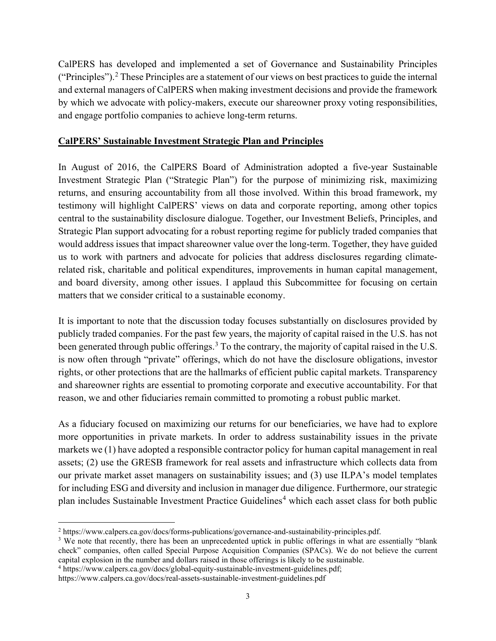CalPERS has developed and implemented a set of Governance and Sustainability Principles ("Principles").[2](#page-2-0) These Principles are a statement of our views on best practices to guide the internal and external managers of CalPERS when making investment decisions and provide the framework by which we advocate with policy-makers, execute our shareowner proxy voting responsibilities, and engage portfolio companies to achieve long-term returns.

### **CalPERS' Sustainable Investment Strategic Plan and Principles**

In August of 2016, the CalPERS Board of Administration adopted a five-year Sustainable Investment Strategic Plan ("Strategic Plan") for the purpose of minimizing risk, maximizing returns, and ensuring accountability from all those involved. Within this broad framework, my testimony will highlight CalPERS' views on data and corporate reporting, among other topics central to the sustainability disclosure dialogue. Together, our Investment Beliefs, Principles, and Strategic Plan support advocating for a robust reporting regime for publicly traded companies that would address issues that impact shareowner value over the long-term. Together, they have guided us to work with partners and advocate for policies that address disclosures regarding climaterelated risk, charitable and political expenditures, improvements in human capital management, and board diversity, among other issues. I applaud this Subcommittee for focusing on certain matters that we consider critical to a sustainable economy.

It is important to note that the discussion today focuses substantially on disclosures provided by publicly traded companies. For the past few years, the majority of capital raised in the U.S. has not been generated through public offerings.<sup>[3](#page-2-1)</sup> To the contrary, the majority of capital raised in the U.S. is now often through "private" offerings, which do not have the disclosure obligations, investor rights, or other protections that are the hallmarks of efficient public capital markets. Transparency and shareowner rights are essential to promoting corporate and executive accountability. For that reason, we and other fiduciaries remain committed to promoting a robust public market.

As a fiduciary focused on maximizing our returns for our beneficiaries, we have had to explore more opportunities in private markets. In order to address sustainability issues in the private markets we (1) have adopted a responsible contractor policy for human capital management in real assets; (2) use the GRESB framework for real assets and infrastructure which collects data from our private market asset managers on sustainability issues; and (3) use ILPA's model templates for including ESG and diversity and inclusion in manager due diligence. Furthermore, our strategic plan includes Sustainable Investment Practice Guidelines<sup>[4](#page-2-2)</sup> which each asset class for both public

<span id="page-2-1"></span><span id="page-2-0"></span> $2 \text{ https://www.calpers.ca.gov/docs/forms-publications/governance-and-sustainability-principles.pdf.}$ <br>
3 We note that recently, there has been an unprecedented uptick in public offerings in what are essentially "blank check" companies, often called Special Purpose Acquisition Companies (SPACs). We do not believe the current capital explosion in the number and dollars raised in those offerings is likely to be sustainable.

<span id="page-2-2"></span><sup>4</sup> https://www.calpers.ca.gov/docs/global-equity-sustainable-investment-guidelines.pdf;

https://www.calpers.ca.gov/docs/real-assets-sustainable-investment-guidelines.pdf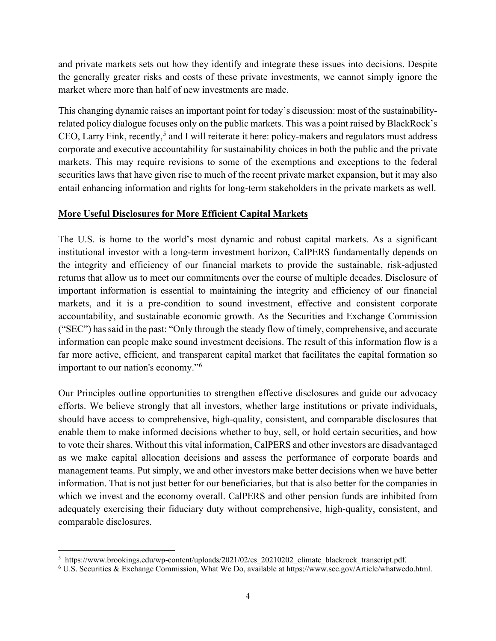and private markets sets out how they identify and integrate these issues into decisions. Despite the generally greater risks and costs of these private investments, we cannot simply ignore the market where more than half of new investments are made.

This changing dynamic raises an important point for today's discussion: most of the sustainabilityrelated policy dialogue focuses only on the public markets. This was a point raised by BlackRock's CEO, Larry Fink, recently,<sup>[5](#page-3-0)</sup> and I will reiterate it here: policy-makers and regulators must address corporate and executive accountability for sustainability choices in both the public and the private markets. This may require revisions to some of the exemptions and exceptions to the federal securities laws that have given rise to much of the recent private market expansion, but it may also entail enhancing information and rights for long-term stakeholders in the private markets as well.

## **More Useful Disclosures for More Efficient Capital Markets**

The U.S. is home to the world's most dynamic and robust capital markets. As a significant institutional investor with a long-term investment horizon, CalPERS fundamentally depends on the integrity and efficiency of our financial markets to provide the sustainable, risk-adjusted returns that allow us to meet our commitments over the course of multiple decades. Disclosure of important information is essential to maintaining the integrity and efficiency of our financial markets, and it is a pre-condition to sound investment, effective and consistent corporate accountability, and sustainable economic growth. As the Securities and Exchange Commission ("SEC") has said in the past: "Only through the steady flow of timely, comprehensive, and accurate information can people make sound investment decisions. The result of this information flow is a far more active, efficient, and transparent capital market that facilitates the capital formation so important to our nation's economy."[6](#page-3-1)

Our Principles outline opportunities to strengthen effective disclosures and guide our advocacy efforts. We believe strongly that all investors, whether large institutions or private individuals, should have access to comprehensive, high-quality, consistent, and comparable disclosures that enable them to make informed decisions whether to buy, sell, or hold certain securities, and how to vote their shares. Without this vital information, CalPERS and other investors are disadvantaged as we make capital allocation decisions and assess the performance of corporate boards and management teams. Put simply, we and other investors make better decisions when we have better information. That is not just better for our beneficiaries, but that is also better for the companies in which we invest and the economy overall. CalPERS and other pension funds are inhibited from adequately exercising their fiduciary duty without comprehensive, high-quality, consistent, and comparable disclosures.

<span id="page-3-0"></span><sup>&</sup>lt;sup>5</sup> https://www.brookings.edu/wp-content/uploads/2021/02/es\_20210202\_climate\_blackrock\_transcript.pdf.  $6$  U.S. Securities & Exchange Commission, What We Do, available at https://www.sec.gov/Article/whatwedo.html.

<span id="page-3-1"></span>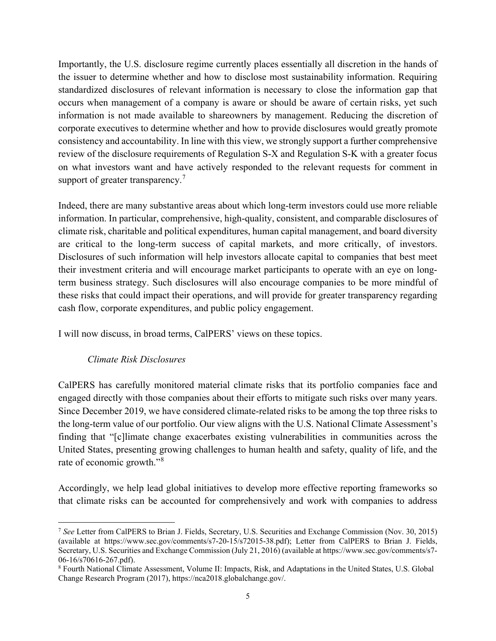Importantly, the U.S. disclosure regime currently places essentially all discretion in the hands of the issuer to determine whether and how to disclose most sustainability information. Requiring standardized disclosures of relevant information is necessary to close the information gap that occurs when management of a company is aware or should be aware of certain risks, yet such information is not made available to shareowners by management. Reducing the discretion of corporate executives to determine whether and how to provide disclosures would greatly promote consistency and accountability. In line with this view, we strongly support a further comprehensive review of the disclosure requirements of Regulation S-X and Regulation S-K with a greater focus on what investors want and have actively responded to the relevant requests for comment in support of greater transparency.<sup>[7](#page-4-0)</sup>

Indeed, there are many substantive areas about which long-term investors could use more reliable information. In particular, comprehensive, high-quality, consistent, and comparable disclosures of climate risk, charitable and political expenditures, human capital management, and board diversity are critical to the long-term success of capital markets, and more critically, of investors. Disclosures of such information will help investors allocate capital to companies that best meet their investment criteria and will encourage market participants to operate with an eye on longterm business strategy. Such disclosures will also encourage companies to be more mindful of these risks that could impact their operations, and will provide for greater transparency regarding cash flow, corporate expenditures, and public policy engagement.

I will now discuss, in broad terms, CalPERS' views on these topics.

## *Climate Risk Disclosures*

CalPERS has carefully monitored material climate risks that its portfolio companies face and engaged directly with those companies about their efforts to mitigate such risks over many years. Since December 2019, we have considered climate-related risks to be among the top three risks to the long-term value of our portfolio. Our view aligns with the U.S. National Climate Assessment's finding that "[c]limate change exacerbates existing vulnerabilities in communities across the United States, presenting growing challenges to human health and safety, quality of life, and the rate of economic growth."[8](#page-4-1)

Accordingly, we help lead global initiatives to develop more effective reporting frameworks so that climate risks can be accounted for comprehensively and work with companies to address

<span id="page-4-0"></span><sup>7</sup> *See* Letter from CalPERS to Brian J. Fields, Secretary, U.S. Securities and Exchange Commission (Nov. 30, 2015) (available at https://www.sec.gov/comments/s7-20-15/s72015-38.pdf); Letter from CalPERS to Brian J. Fields, Secretary, U.S. Securities and Exchange Commission (July 21, 2016) (available at https://www.sec.gov/comments/s7- 06-16/s70616-267.pdf).<br><sup>8</sup> Fourth National Climate Assessment, Volume II: Impacts, Risk, and Adaptations in the United States, U.S. Global

<span id="page-4-1"></span>Change Research Program (2017), https://nca2018.globalchange.gov/.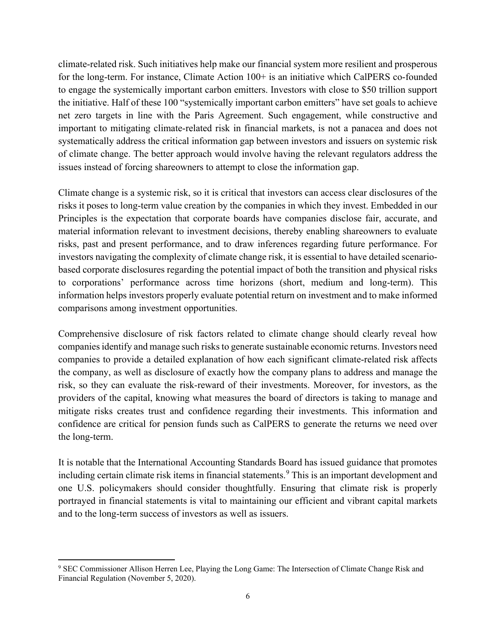climate-related risk. Such initiatives help make our financial system more resilient and prosperous for the long-term. For instance, Climate Action  $100+$  is an initiative which CalPERS co-founded to engage the systemically important carbon emitters. Investors with close to \$50 trillion support the initiative. Half of these 100 "systemically important carbon emitters" have set goals to achieve net zero targets in line with the Paris Agreement. Such engagement, while constructive and important to mitigating climate-related risk in financial markets, is not a panacea and does not systematically address the critical information gap between investors and issuers on systemic risk of climate change. The better approach would involve having the relevant regulators address the issues instead of forcing shareowners to attempt to close the information gap.

Climate change is a systemic risk, so it is critical that investors can access clear disclosures of the risks it poses to long-term value creation by the companies in which they invest. Embedded in our Principles is the expectation that corporate boards have companies disclose fair, accurate, and material information relevant to investment decisions, thereby enabling shareowners to evaluate risks, past and present performance, and to draw inferences regarding future performance. For investors navigating the complexity of climate change risk, it is essential to have detailed scenariobased corporate disclosures regarding the potential impact of both the transition and physical risks to corporations' performance across time horizons (short, medium and long-term). This information helps investors properly evaluate potential return on investment and to make informed comparisons among investment opportunities.

Comprehensive disclosure of risk factors related to climate change should clearly reveal how companies identify and manage such risks to generate sustainable economic returns. Investors need companies to provide a detailed explanation of how each significant climate-related risk affects the company, as well as disclosure of exactly how the company plans to address and manage the risk, so they can evaluate the risk-reward of their investments. Moreover, for investors, as the providers of the capital, knowing what measures the board of directors is taking to manage and mitigate risks creates trust and confidence regarding their investments. This information and confidence are critical for pension funds such as CalPERS to generate the returns we need over the long-term.

It is notable that the International Accounting Standards Board has issued guidance that promotes including certain climate risk items in financial statements.<sup>[9](#page-5-0)</sup> This is an important development and one U.S. policymakers should consider thoughtfully. Ensuring that climate risk is properly portrayed in financial statements is vital to maintaining our efficient and vibrant capital markets and to the long-term success of investors as well as issuers.

<span id="page-5-0"></span><sup>&</sup>lt;sup>9</sup> SEC Commissioner Allison Herren Lee, Playing the Long Game: The Intersection of Climate Change Risk and Financial Regulation (November 5, 2020).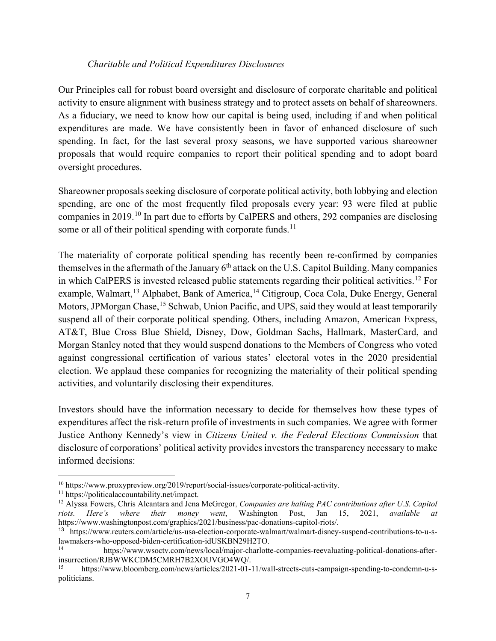### *Charitable and Political Expenditures Disclosures*

Our Principles call for robust board oversight and disclosure of corporate charitable and political activity to ensure alignment with business strategy and to protect assets on behalf of shareowners. As a fiduciary, we need to know how our capital is being used, including if and when political expenditures are made. We have consistently been in favor of enhanced disclosure of such spending. In fact, for the last several proxy seasons, we have supported various shareowner proposals that would require companies to report their political spending and to adopt board oversight procedures.

Shareowner proposals seeking disclosure of corporate political activity, both lobbying and election spending, are one of the most frequently filed proposals every year: 93 were filed at public companies in 2019.[10](#page-6-0) In part due to efforts by CalPERS and others, 292 companies are disclosing some or all of their political spending with corporate funds.<sup>[11](#page-6-1)</sup>

The materiality of corporate political spending has recently been re-confirmed by companies themselves in the aftermath of the January  $6<sup>th</sup>$  attack on the U.S. Capitol Building. Many companies in which CalPERS is invested released public statements regarding their political activities.<sup>[12](#page-6-2)</sup> For example, Walmart,<sup>[13](#page-6-3)</sup> Alphabet, Bank of America,<sup>[14](#page-6-4)</sup> Citigroup, Coca Cola, Duke Energy, General Motors, JPMorgan Chase, <sup>[15](#page-6-5)</sup> Schwab, Union Pacific, and UPS, said they would at least temporarily suspend all of their corporate political spending. Others, including Amazon, American Express, AT&T, Blue Cross Blue Shield, Disney, Dow, Goldman Sachs, Hallmark, MasterCard, and Morgan Stanley noted that they would suspend donations to the Members of Congress who voted against congressional certification of various states' electoral votes in the 2020 presidential election. We applaud these companies for recognizing the materiality of their political spending activities, and voluntarily disclosing their expenditures.

Investors should have the information necessary to decide for themselves how these types of expenditures affect the risk-return profile of investments in such companies. We agree with former Justice Anthony Kennedy's view in *Citizens United v. the Federal Elections Commission* that disclosure of corporations' political activity provides investors the transparency necessary to make informed decisions:

<span id="page-6-2"></span>

<span id="page-6-1"></span><span id="page-6-0"></span><sup>&</sup>lt;sup>10</sup> https://www.proxypreview.org/2019/report/social-issues/corporate-political-activity.<br><sup>11</sup> https://politicalaccountability.net/impact.<br><sup>12</sup> Alyssa Fowers, Chris Alcantara and Jena McGregor, *Companies are halting PAC riots. Here's where their money went*, Washington Post, Jan 15, 2021, *available at*  https://www.washingtonpost.com/graphics/2021/business/pac-donations-capitol-riots/.

<span id="page-6-3"></span><sup>13</sup> https://www.reuters.com/article/us-usa-election-corporate-walmart/walmart-disney-suspend-contributions-to-u-slawmakers-who-opposed-biden-certification-idUSKBN29H2TO.<br>
https://www.wsoctv.com/news/local/major-charlotte-companies-reevaluating-political-donations-after-

<span id="page-6-4"></span>insurrection/RJBWWKCDM5CMRH7B2XOUVGO4WQ/.

<span id="page-6-5"></span><sup>15</sup> https://www.bloomberg.com/news/articles/2021-01-11/wall-streets-cuts-campaign-spending-to-condemn-u-spoliticians.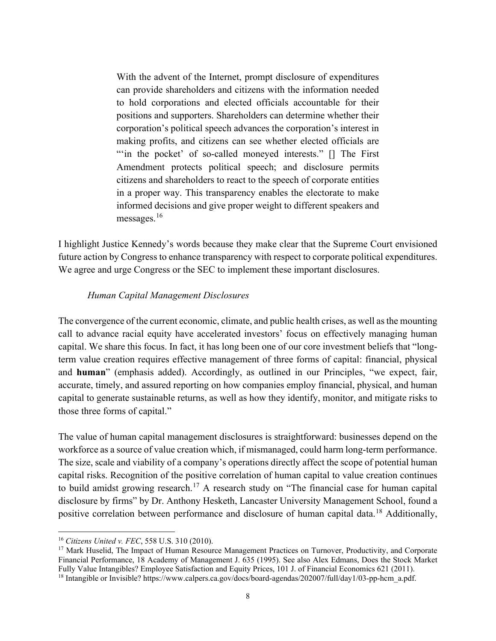With the advent of the Internet, prompt disclosure of expenditures can provide shareholders and citizens with the information needed to hold corporations and elected officials accountable for their positions and supporters. Shareholders can determine whether their corporation's political speech advances the corporation's interest in making profits, and citizens can see whether elected officials are ""in the pocket' of so-called moneyed interests." [] The First Amendment protects political speech; and disclosure permits citizens and shareholders to react to the speech of corporate entities in a proper way. This transparency enables the electorate to make informed decisions and give proper weight to different speakers and messages.<sup>[16](#page-7-0)</sup>

I highlight Justice Kennedy's words because they make clear that the Supreme Court envisioned future action by Congress to enhance transparency with respect to corporate political expenditures. We agree and urge Congress or the SEC to implement these important disclosures.

#### *Human Capital Management Disclosures*

The convergence of the current economic, climate, and public health crises, as well as the mounting call to advance racial equity have accelerated investors' focus on effectively managing human capital. We share this focus. In fact, it has long been one of our core investment beliefs that "longterm value creation requires effective management of three forms of capital: financial, physical and **human**" (emphasis added). Accordingly, as outlined in our Principles, "we expect, fair, accurate, timely, and assured reporting on how companies employ financial, physical, and human capital to generate sustainable returns, as well as how they identify, monitor, and mitigate risks to those three forms of capital."

The value of human capital management disclosures is straightforward: businesses depend on the workforce as a source of value creation which, if mismanaged, could harm long-term performance. The size, scale and viability of a company's operations directly affect the scope of potential human capital risks. Recognition of the positive correlation of human capital to value creation continues to build amidst growing research.<sup>[17](#page-7-1)</sup> A research study on "The financial case for human capital disclosure by firms" by Dr. Anthony Hesketh, Lancaster University Management School, found a positive correlation between performance and disclosure of human capital data.<sup>[18](#page-7-2)</sup> Additionally,

<span id="page-7-1"></span><span id="page-7-0"></span><sup>&</sup>lt;sup>16</sup> *Citizens United v. FEC*, 558 U.S. 310 (2010).<br><sup>17</sup> Mark Huselid, The Impact of Human Resource Management Practices on Turnover, Productivity, and Corporate Financial Performance, 18 Academy of Management J. 635 (1995). See also Alex Edmans, Does the Stock Market Fully Value Intangibles? Employee Satisfaction and Equity Prices, 101 J. of Financial Economics 621 (2011).

<span id="page-7-2"></span><sup>&</sup>lt;sup>18</sup> Intangible or Invisible? https://www.calpers.ca.gov/docs/board-agendas/202007/full/day1/03-pp-hcm\_a.pdf.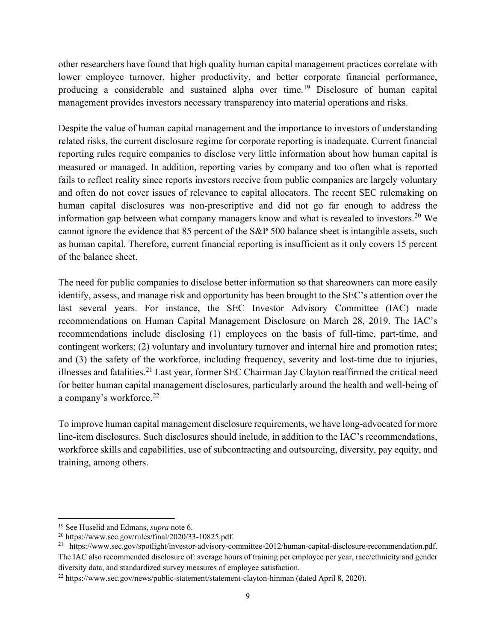other researchers have found that high quality human capital management practices correlate with lower employee turnover, higher productivity, and better corporate financial performance, producing a considerable and sustained alpha over time.[19](#page-8-0) Disclosure of human capital management provides investors necessary transparency into material operations and risks.

Despite the value of human capital management and the importance to investors of understanding related risks, the current disclosure regime for corporate reporting is inadequate. Current financial reporting rules require companies to disclose very little information about how human capital is measured or managed. In addition, reporting varies by company and too often what is reported fails to reflect reality since reports investors receive from public companies are largely voluntary and often do not cover issues of relevance to capital allocators. The recent SEC rulemaking on human capital disclosures was non-prescriptive and did not go far enough to address the information gap between what company managers know and what is revealed to investors.<sup>[20](#page-8-1)</sup> We cannot ignore the evidence that 85 percent of the S&P 500 balance sheet is intangible assets, such as human capital. Therefore, current financial reporting is insufficient as it only covers 15 percent of the balance sheet.

The need for public companies to disclose better information so that shareowners can more easily identify, assess, and manage risk and opportunity has been brought to the SEC's attention over the last several years. For instance, the SEC Investor Advisory Committee (IAC) made recommendations on Human Capital Management Disclosure on March 28, 2019. The IAC's recommendations include disclosing (1) employees on the basis of full-time, part-time, and contingent workers; (2) voluntary and involuntary turnover and internal hire and promotion rates; and (3) the safety of the workforce, including frequency, severity and lost-time due to injuries, illnesses and fatalities.<sup>[21](#page-8-2)</sup> Last year, former SEC Chairman Jay Clayton reaffirmed the critical need for better human capital management disclosures, particularly around the health and well-being of a company's workforce.<sup>[22](#page-8-3)</sup>

To improve human capital management disclosure requirements, we have long-advocated for more line-item disclosures. Such disclosures should include, in addition to the IAC's recommendations, workforce skills and capabilities, use of subcontracting and outsourcing, diversity, pay equity, and training, among others.

<span id="page-8-1"></span><span id="page-8-0"></span><sup>&</sup>lt;sup>19</sup> See Huselid and Edmans, *supra* note 6.<br><sup>20</sup> https://www.sec.gov/rules/final/2020/33-10825.pdf.

<span id="page-8-2"></span><sup>&</sup>lt;sup>21</sup> https://www.sec.gov/spotlight/investor-advisory-committee-2012/human-capital-disclosure-recommendation.pdf. The IAC also recommended disclosure of: average hours of training per employee per year, race/ethnicity and gender diversity data, and standardized survey measures of employee satisfaction.

<span id="page-8-3"></span><sup>22</sup> https://www.sec.gov/news/public-statement/statement-clayton-hinman (dated April 8, 2020).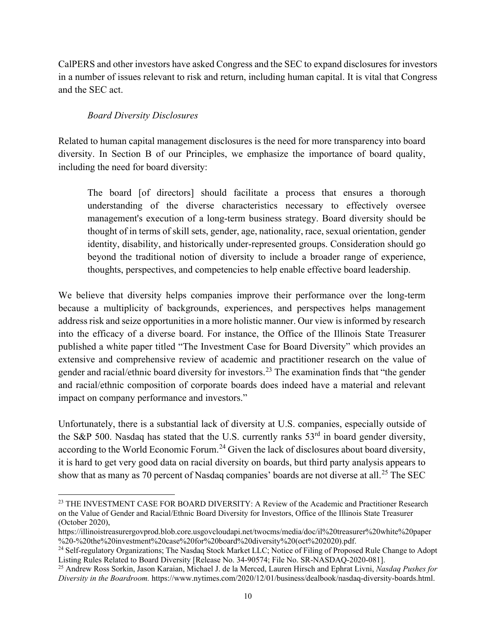CalPERS and other investors have asked Congress and the SEC to expand disclosures for investors in a number of issues relevant to risk and return, including human capital. It is vital that Congress and the SEC act.

## *Board Diversity Disclosures*

Related to human capital management disclosures is the need for more transparency into board diversity. In Section B of our Principles, we emphasize the importance of board quality, including the need for board diversity:

The board [of directors] should facilitate a process that ensures a thorough understanding of the diverse characteristics necessary to effectively oversee management's execution of a long-term business strategy. Board diversity should be thought of in terms of skill sets, gender, age, nationality, race, sexual orientation, gender identity, disability, and historically under-represented groups. Consideration should go beyond the traditional notion of diversity to include a broader range of experience, thoughts, perspectives, and competencies to help enable effective board leadership.

We believe that diversity helps companies improve their performance over the long-term because a multiplicity of backgrounds, experiences, and perspectives helps management address risk and seize opportunities in a more holistic manner. Our view is informed by research into the efficacy of a diverse board. For instance, the Office of the Illinois State Treasurer published a white paper titled "The Investment Case for Board Diversity" which provides an extensive and comprehensive review of academic and practitioner research on the value of gender and racial/ethnic board diversity for investors.<sup>[23](#page-9-0)</sup> The examination finds that "the gender and racial/ethnic composition of corporate boards does indeed have a material and relevant impact on company performance and investors."

Unfortunately, there is a substantial lack of diversity at U.S. companies, especially outside of the S&P 500. Nasdaq has stated that the U.S. currently ranks  $53<sup>rd</sup>$  in board gender diversity, according to the World Economic Forum.<sup>[24](#page-9-1)</sup> Given the lack of disclosures about board diversity, it is hard to get very good data on racial diversity on boards, but third party analysis appears to show that as many as 70 percent of Nasdaq companies' boards are not diverse at all.<sup>[25](#page-9-2)</sup> The SEC

<span id="page-9-0"></span><sup>&</sup>lt;sup>23</sup> THE INVESTMENT CASE FOR BOARD DIVERSITY: A Review of the Academic and Practitioner Research on the Value of Gender and Racial/Ethnic Board Diversity for Investors, Office of the Illinois State Treasurer (October 2020),

https://illinoistreasurergovprod.blob.core.usgovcloudapi.net/twocms/media/doc/il%20treasurer%20white%20paper %20-%20the%20investment%20case%20for%20board%20diversity%20(oct%202020).pdf.

<span id="page-9-1"></span><sup>&</sup>lt;sup>24</sup> Self-regulatory Organizations; The Nasdaq Stock Market LLC; Notice of Filing of Proposed Rule Change to Adopt Listing Rules Related to Board Diversity [Release No. 34-90574; File No. SR-NASDAQ-2020-081].

<span id="page-9-2"></span><sup>25</sup> Andrew Ross Sorkin, Jason Karaian, Michael J. de la Merced, Lauren Hirsch and Ephrat Livni, *Nasdaq Pushes for Diversity in the Boardroom.* https://www.nytimes.com/2020/12/01/business/dealbook/nasdaq-diversity-boards.html.